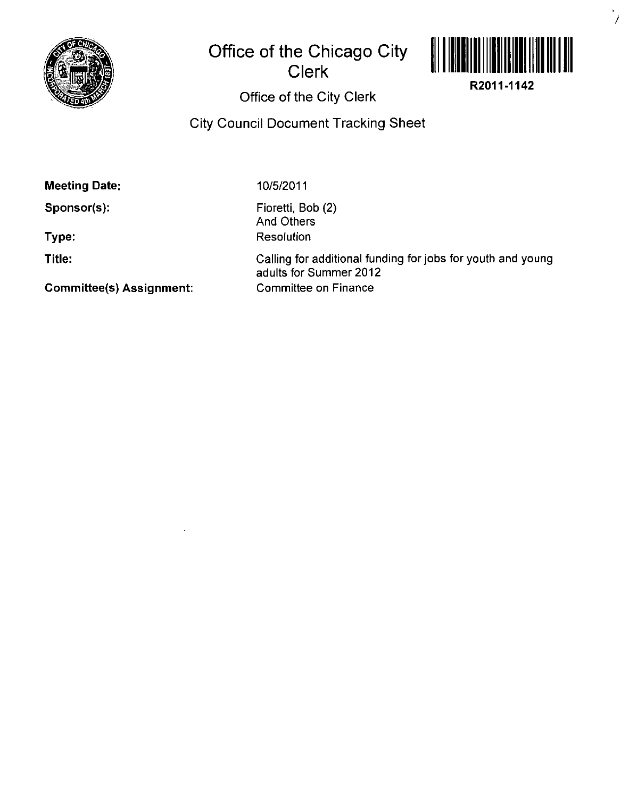

## **Office of the Chicago City Clerk**



 $\frac{1}{\sqrt{2}}$ 

**R2011-1142** 

## **Office of the City Clerk**

**City Council Document Tracking Sheet** 

**Meeting Date:** 

**Sponsor(s):** 

**Type:** 

**Titie:** 

10/5/2011

Fioretti, Bob (2) And Others Resolution

Calling for additional funding for jobs for youth and young adults for Summer 2012 Committee on Finance

**Committee(s) Assignment:**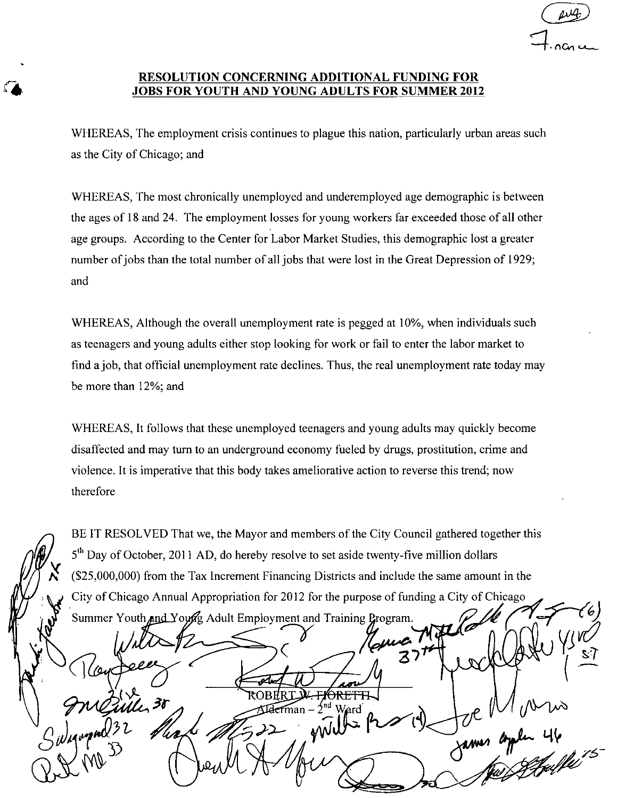## **RESOLUTION CONCERNING ADDITIONAL FUNDING FOR JOBS FOR YOUTH AND YOUNG ADULTS FOR SUMMER 2012**

WHEREAS, The employment crisis continues to plague this nation, particularly urban areas such as the City of Chicago; and

WHEREAS, The most chronically unemployed and underemployed age demographic is between the ages of 18 and 24. The employment losses for young workers far exceeded those of all other age groups. According to the Center for Labor Market Studies, this demographic lost a greater number of jobs than the total number of all jobs that were lost in the Great Depression of 1929; and

WHEREAS, Although the overall unemployment rate is pegged at 10%, when individuals such as teenagers and young adults either stop looking for work or fail to enter the labor market to find a job, that official unemployment rate declines. Thus, the real unemployment rate today may be more than 12%; and

WHEREAS, It follows that these unemployed teenagers and young adults may quickly become disaffected and may tum to an underground economy fueled by drugs, prostitution, crime and violence. It is imperative that this body takes ameliorative action to reverse this trend; now therefore

BE IT RESOLVED That we, the Mayor and members of the City Council gathered together this 5<sup>th</sup> Day of October, 2011 AD, do hereby resolve to set aside twenty-five million dollars (\$25,000,000) from the Tax Increment Financing Districts and include the same amount in the City of Chicago Annual Appropriation for 2012 for the purpose of funding a City of Chicago Summer Youth and Young Adult Employment and Training Program. ARFTI Mile 38  $\lambda$ nd Ward lerman –